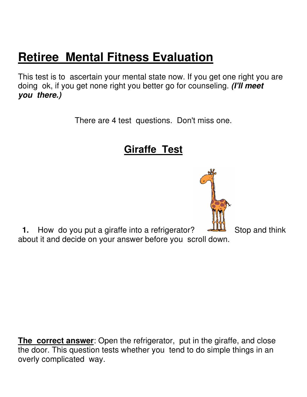## **Retiree Mental Fitness Evaluation**

This test is to ascertain your mental state now. If you get one right you are doing ok, if you get none right you better go for counseling. **(I'll meet you there.)**

There are 4 test questions. Don't miss one.

**Giraffe Test**



**The correct answer**: Open the refrigerator, put in the giraffe, and close the door. This question tests whether you tend to do simple things in an overly complicated way.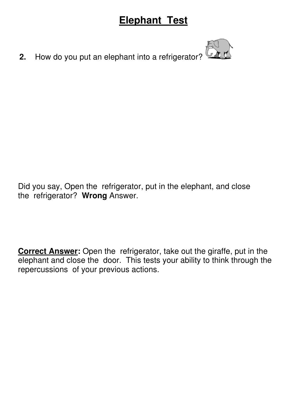## **Elephant Test**

**2.** How do you put an elephant into a refrigerator?

Did you say, Open the refrigerator, put in the elephant, and close the refrigerator? **Wrong** Answer.

**Correct Answer:** Open the refrigerator, take out the giraffe, put in the elephant and close the door. This tests your ability to think through the repercussions of your previous actions.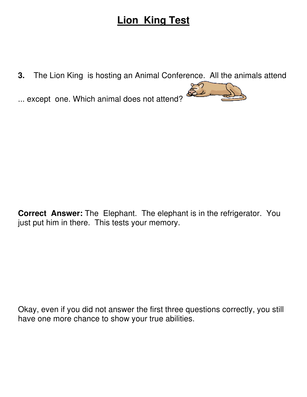## **Lion King Test**

**3.** The Lion King is hosting an Animal Conference. All the animals attend

... except one. Which animal does not attend?



Okay, even if you did not answer the first three questions correctly, you still have one more chance to show your true abilities.